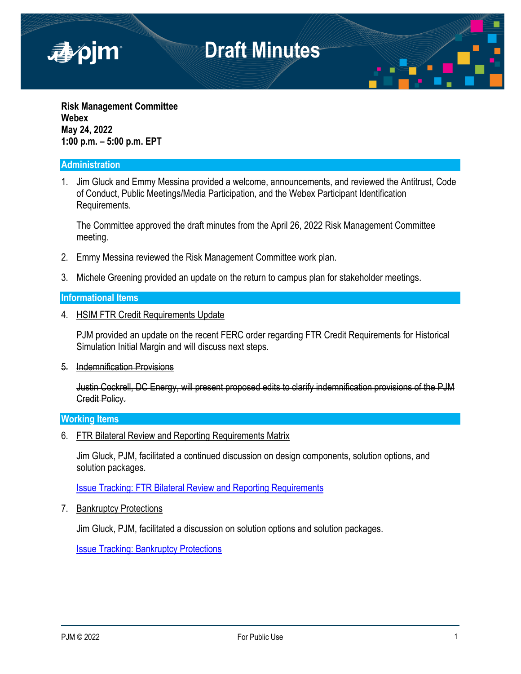

**Risk Management Committee Webex May 24, 2022 1:00 p.m. – 5:00 p.m. EPT**

### **Administration**

1. Jim Gluck and Emmy Messina provided a welcome, announcements, and reviewed the Antitrust, Code of Conduct, Public Meetings/Media Participation, and the Webex Participant Identification Requirements.

The Committee approved the draft minutes from the April 26, 2022 Risk Management Committee meeting.

- 2. Emmy Messina reviewed the Risk Management Committee work plan.
- 3. Michele Greening provided an update on the return to campus plan for stakeholder meetings.

#### **Informational Items**

4. HSIM FTR Credit Requirements Update

PJM provided an update on the recent FERC order regarding FTR Credit Requirements for Historical Simulation Initial Margin and will discuss next steps.

5. Indemnification Provisions

Justin Cockrell, DC Energy, will present proposed edits to clarify indemnification provisions of the PJM Credit Policy.

#### **Working Items**

6. FTR Bilateral Review and Reporting Requirements Matrix

Jim Gluck, PJM, facilitated a continued discussion on design components, solution options, and solution packages.

[Issue Tracking: FTR Bilateral Review and Reporting Requirements](https://pjm.com/committees-and-groups/issue-tracking/issue-tracking-details.aspx?Issue=b2c1be66-9571-4332-b5b0-7984d40d67a0)

7. Bankruptcy Protections

Jim Gluck, PJM, facilitated a discussion on solution options and solution packages.

[Issue Tracking: Bankruptcy Protections](https://pjm.com/committees-and-groups/issue-tracking/issue-tracking-details.aspx?Issue=686f7356-146b-4fa8-8417-7ba0f8e9ba7c)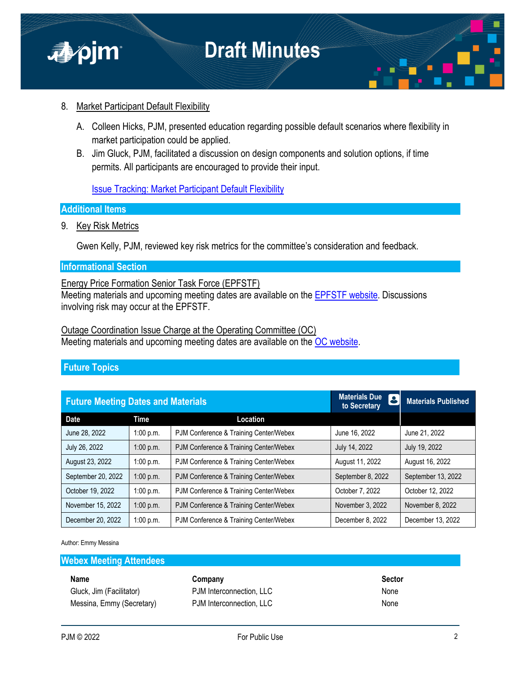

## 8. Market Participant Default Flexibility

- A. Colleen Hicks, PJM, presented education regarding possible default scenarios where flexibility in market participation could be applied.
- B. Jim Gluck, PJM, facilitated a discussion on design components and solution options, if time permits. All participants are encouraged to provide their input.

[Issue Tracking: Market Participant Default Flexibility](https://pjm.com/committees-and-groups/issue-tracking/issue-tracking-details.aspx?Issue=bd8348bc-f0e2-4c19-8db9-0156f62c6846)

#### **Additional Items**

9. Key Risk Metrics

Gwen Kelly, PJM, reviewed key risk metrics for the committee's consideration and feedback.

### **Informational Section**

Energy Price Formation Senior Task Force (EPFSTF)

Meeting materials and upcoming meeting dates are available on the [EPFSTF website.](https://pjm.com/committees-and-groups/task-forces/epfstf) Discussions involving risk may occur at the EPFSTF.

Outage Coordination Issue Charge at the Operating Committee (OC) Meeting materials and upcoming meeting dates are available on the [OC website](https://www.pjm.com/committees-and-groups/committees/oc).

### **Future Topics**

| <b>Future Meeting Dates and Materials</b> |             |                                        | <b>Materials Due</b><br>$ \mathbf{S} $<br>to Secretary | <b>Materials Published</b> |
|-------------------------------------------|-------------|----------------------------------------|--------------------------------------------------------|----------------------------|
| <b>Date</b>                               | <b>Time</b> | Location                               |                                                        |                            |
| June 28, 2022                             | 1:00 p.m.   | PJM Conference & Training Center/Webex | June 16, 2022                                          | June 21, 2022              |
| July 26, 2022                             | 1:00 p.m.   | PJM Conference & Training Center/Webex | July 14, 2022                                          | July 19, 2022              |
| August 23, 2022                           | 1:00 p.m.   | PJM Conference & Training Center/Webex | August 11, 2022                                        | August 16, 2022            |
| September 20, 2022                        | 1:00 p.m.   | PJM Conference & Training Center/Webex | September 8, 2022                                      | September 13, 2022         |
| October 19, 2022                          | 1:00 p.m.   | PJM Conference & Training Center/Webex | October 7, 2022                                        | October 12, 2022           |
| November 15, 2022                         | 1:00 p.m.   | PJM Conference & Training Center/Webex | November 3, 2022                                       | November 8, 2022           |
| December 20, 2022                         | 1:00 p.m.   | PJM Conference & Training Center/Webex | December 8, 2022                                       | December 13, 2022          |

Author: Emmy Messina

#### **Webex Meeting Attendees**

# Gluck, Jim (Facilitator) **PJM Interconnection, LLC** None Messina, Emmy (Secretary) PJM Interconnection, LLC None

| Name                      | Company                  | Sector |
|---------------------------|--------------------------|--------|
| Gluck, Jim (Facilitator)  | PJM Interconnection. LLC | None   |
| Messina, Emmy (Secretary) | PJM Interconnection, LLC | None   |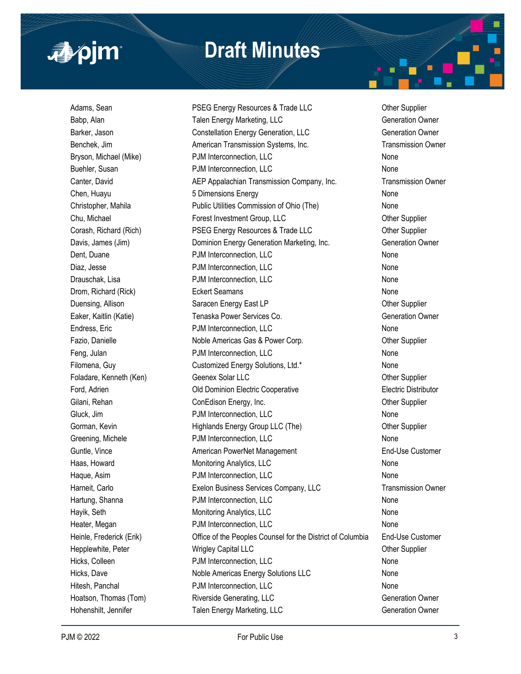

# **Draft Minutes**

Adams, Sean **PSEG Energy Resources & Trade LLC** Other Supplier Babp, Alan **Talen Energy Marketing, LLC** Generation Owner Barker, Jason **Constellation Energy Generation, LLC** Generation Owner Benchek, Jim **American Transmission Systems, Inc.** Transmission Owner Bryson, Michael (Mike) **PJM** Interconnection, LLC **None** Buehler, Susan **PJM Interconnection, LLC** None Canter, David **AEP Appalachian Transmission Company, Inc.** Transmission Owner Chen, Huayu **6 Dimensions Energy** Chen, Huayu None Christopher, Mahila **Public Utilities Commission of Ohio (The)** None Chu, Michael **Forest Investment Group, LLC** Chu, Michael Other Supplier Corash, Richard (Rich) **PSEG Energy Resources & Trade LLC** Other Supplier Davis, James (Jim) Dominion Energy Generation Marketing, Inc. Generation Owner Dent, Duane **PJM Interconnection, LLC** None Diaz, Jesse **No. 2018** PJM Interconnection, LLC None Drauschak, Lisa **PJM Interconnection, LLC** None Drom, Richard (Rick) **Eckert Seamans None** Richard (Rick) Duensing, Allison Saracen Energy East LP Communication Cher Supplier Eaker, Kaitlin (Katie) Tenaska Power Services Co. Generation Owner Endress, Eric **No. 2018** PDM Interconnection, LLC **None** None Fazio, Danielle **Noble Americas Gas & Power Corp.** Character Corp. Character Supplier Feng, Julan **PJM Interconnection, LLC** None Filomena, Guy Customized Energy Solutions, Ltd.\* None Foladare, Kenneth (Ken) Geenex Solar LLC Charles Communication of the Supplier Ford, Adrien Old Dominion Electric Cooperative Electric Distributor Gilani, Rehan ConEdison Energy, Inc. ConEdison Energy, Inc. Content Content Content Content Content Content Con Gluck, Jim **PJM Interconnection, LLC** and the state of the None Gorman, Kevin **Example 2** Highlands Energy Group LLC (The) **Collection Contains Containers** Other Supplier Greening, Michele **Connection** PJM Interconnection, LLC **None** None Guntle, Vince **American PowerNet Management** End-Use Customer End-Use Customer Haas, Howard **Monitoring Analytics, LLC** None Mone Haque, Asim **PJM Interconnection, LLC** None Harneit, Carlo **Exelon Business Services Company, LLC** Transmission Owner Hartung, Shanna **PJM Interconnection, LLC** None Hayik, Seth **Monitoring Analytics, LLC** None Heater, Megan **No. 2018** PJM Interconnection, LLC None Heinle, Frederick (Erik) Office of the Peoples Counsel for the District of Columbia End-Use Customer Hepplewhite, Peter **Migley Capital LLC Community** Community Community Community Community Community Community Community Community Community Community Community Community Community Community Community Community Community Hicks, Colleen **No. 2018** PJM Interconnection, LLC None Hicks, Dave **Noble Americas Energy Solutions LLC** None Hitesh, Panchal **PJM Interconnection, LLC** None Hoatson, Thomas (Tom) Riverside Generating, LLC Generation Owner Hohenshilt, Jennifer Talen Energy Marketing, LLC Generation Owner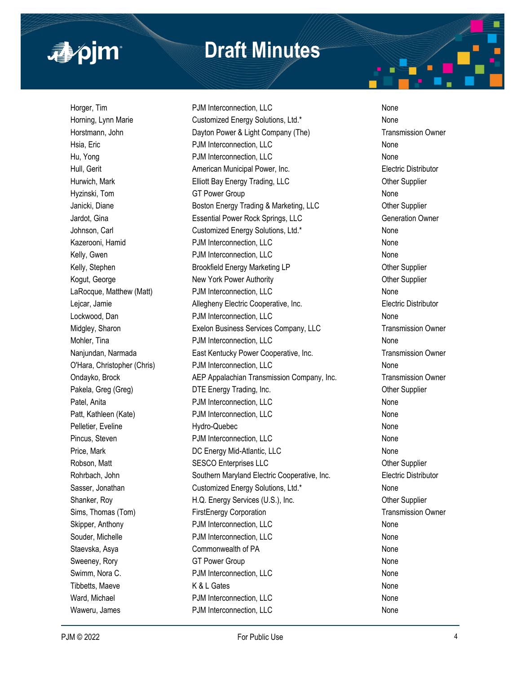

# **Draft Minutes**

Horger, Tim **Example 2018** PJM Interconnection, LLC **None** None Horning, Lynn Marie **Customized Energy Solutions, Ltd.\*** None Horstmann, John **Dayton Power & Light Company (The)** Transmission Owner Hsia, Eric **No. 2018 PJM Interconnection, LLC** None Hu, Yong **No. 2018 PDM Interconnection, LLC** None Hull, Gerit **American Municipal Power, Inc.** American Municipal Power, Inc. **Electric Distributor** Hurwich, Mark **Elliott Bay Energy Trading, LLC** Character Complier Hyzinski, Tom **GT Power Group** COME None Janicki, Diane **Boston Energy Trading & Marketing, LLC** Other Supplier Jardot, Gina **Essential Power Rock Springs, LLC** Generation Owner Johnson, Carl **Customized Energy Solutions, Ltd.\*** None Kazerooni, Hamid **Example 2018** PJM Interconnection, LLC Kelly, Gwen **No. 2018** PJM Interconnection, LLC None Kelly, Stephen **Brookfield Energy Marketing LP** Cher Supplier Kogut, George **New York Power Authority New York Power Authority New York Power Authority Channel Supplier** LaRocque, Matthew (Matt) **PJM Interconnection, LLC** None Lejcar, Jamie **Allegheny Electric Cooperative, Inc.** Electric Distributor Lockwood, Dan **PJM Interconnection, LLC** None Midgley, Sharon **Exelon Business Services Company, LLC** Transmission Owner Mohler, Tina **None 2018** PJM Interconnection, LLC Nanjundan, Narmada **East Kentucky Power Cooperative, Inc.** Transmission Owner O'Hara, Christopher (Chris) PJM Interconnection, LLC None Ondayko, Brock AEP Appalachian Transmission Company, Inc. Transmission Owner Pakela, Greg (Greg) **DTE** Energy Trading, Inc. **Example 2** Other Supplier Patel, Anita **PJM Interconnection, LLC** None Patt, Kathleen (Kate) **PJM Interconnection, LLC** None Pelletier, Eveline None North Hydro-Quebec None None None None Pincus, Steven **PJM Interconnection, LLC** None Price, Mark **DC Energy Mid-Atlantic, LLC** None Robson, Matt **SESCO Enterprises LLC SESCO Enterprises LLC Other Supplier** Rohrbach, John Southern Maryland Electric Cooperative, Inc. Electric Distributor Sasser, Jonathan **Customized Energy Solutions, Ltd.\*** None Shanker, Roy **H.Q. Energy Services (U.S.), Inc.** Other Supplier Sims, Thomas (Tom) **FirstEnergy Corporation** Transmission Owner Skipper, Anthony **PJM Interconnection, LLC** None Souder, Michelle **No. 2018** PJM Interconnection, LLC None Staevska, Asya None Commonwealth of PA None None None Sweeney, Rory **GT Power Group** COMEX CONSINGUITY CONSINGUITY CONSINGUITY OF SAME CONSINGUITY OF SAME CONSINGUITY OF SAME CONSINGUITY OF SAME CONSINGUITY OF SAME CONSINGUITY OF SAME CONSINGUITY OF SAME CONSINGUITY OF SAME C Swimm, Nora C. **Example 20 FIM Interconnection, LLC** None Tibbetts, Maeve **No. 2018** K & L Gates None None None Ward, Michael **No. 2018** PJM Interconnection, LLC None Waweru, James **No. 2018** PJM Interconnection, LLC None